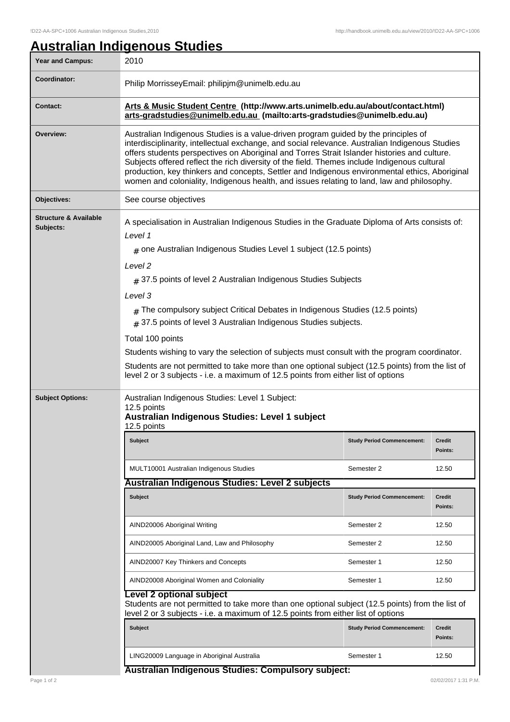## **Australian Indigenous Studies**

| <b>Year and Campus:</b>                       | 2010                                                                                                                                                                                                                                                                                                                                                                                                                                                                                                                                                                                   |                                   |                          |  |
|-----------------------------------------------|----------------------------------------------------------------------------------------------------------------------------------------------------------------------------------------------------------------------------------------------------------------------------------------------------------------------------------------------------------------------------------------------------------------------------------------------------------------------------------------------------------------------------------------------------------------------------------------|-----------------------------------|--------------------------|--|
| Coordinator:                                  | Philip MorrisseyEmail: philipjm@unimelb.edu.au                                                                                                                                                                                                                                                                                                                                                                                                                                                                                                                                         |                                   |                          |  |
| Contact:                                      | Arts & Music Student Centre (http://www.arts.unimelb.edu.au/about/contact.html)<br>arts-gradstudies@unimelb.edu.au (mailto:arts-gradstudies@unimelb.edu.au)                                                                                                                                                                                                                                                                                                                                                                                                                            |                                   |                          |  |
| Overview:                                     | Australian Indigenous Studies is a value-driven program guided by the principles of<br>interdisciplinarity, intellectual exchange, and social relevance. Australian Indigenous Studies<br>offers students perspectives on Aboriginal and Torres Strait Islander histories and culture.<br>Subjects offered reflect the rich diversity of the field. Themes include Indigenous cultural<br>production, key thinkers and concepts, Settler and Indigenous environmental ethics, Aboriginal<br>women and coloniality, Indigenous health, and issues relating to land, law and philosophy. |                                   |                          |  |
| Objectives:                                   | See course objectives                                                                                                                                                                                                                                                                                                                                                                                                                                                                                                                                                                  |                                   |                          |  |
| <b>Structure &amp; Available</b><br>Subjects: | A specialisation in Australian Indigenous Studies in the Graduate Diploma of Arts consists of:<br>Level 1<br>$#$ one Australian Indigenous Studies Level 1 subject (12.5 points)<br>Level <sub>2</sub>                                                                                                                                                                                                                                                                                                                                                                                 |                                   |                          |  |
|                                               | $#$ 37.5 points of level 2 Australian Indigenous Studies Subjects<br>Level 3                                                                                                                                                                                                                                                                                                                                                                                                                                                                                                           |                                   |                          |  |
|                                               |                                                                                                                                                                                                                                                                                                                                                                                                                                                                                                                                                                                        |                                   |                          |  |
|                                               | $#$ The compulsory subject Critical Debates in Indigenous Studies (12.5 points)<br>$#$ 37.5 points of level 3 Australian Indigenous Studies subjects.                                                                                                                                                                                                                                                                                                                                                                                                                                  |                                   |                          |  |
|                                               | Total 100 points<br>Students wishing to vary the selection of subjects must consult with the program coordinator.                                                                                                                                                                                                                                                                                                                                                                                                                                                                      |                                   |                          |  |
|                                               |                                                                                                                                                                                                                                                                                                                                                                                                                                                                                                                                                                                        |                                   |                          |  |
|                                               | Students are not permitted to take more than one optional subject (12.5 points) from the list of<br>level 2 or 3 subjects - i.e. a maximum of 12.5 points from either list of options                                                                                                                                                                                                                                                                                                                                                                                                  |                                   |                          |  |
| <b>Subject Options:</b>                       | Australian Indigenous Studies: Level 1 Subject:<br>12.5 points<br>Australian Indigenous Studies: Level 1 subject<br>12.5 points                                                                                                                                                                                                                                                                                                                                                                                                                                                        |                                   |                          |  |
|                                               | Subject                                                                                                                                                                                                                                                                                                                                                                                                                                                                                                                                                                                | <b>Study Period Commencement:</b> | Credit<br>Points:        |  |
|                                               | MULT10001 Australian Indigenous Studies                                                                                                                                                                                                                                                                                                                                                                                                                                                                                                                                                | Semester 2                        | 12.50                    |  |
|                                               | Australian Indigenous Studies: Level 2 subjects                                                                                                                                                                                                                                                                                                                                                                                                                                                                                                                                        |                                   |                          |  |
|                                               | Subject                                                                                                                                                                                                                                                                                                                                                                                                                                                                                                                                                                                | <b>Study Period Commencement:</b> | <b>Credit</b><br>Points: |  |
|                                               | AIND20006 Aboriginal Writing                                                                                                                                                                                                                                                                                                                                                                                                                                                                                                                                                           | Semester 2                        | 12.50                    |  |
|                                               | AIND20005 Aboriginal Land, Law and Philosophy                                                                                                                                                                                                                                                                                                                                                                                                                                                                                                                                          | Semester 2                        | 12.50                    |  |
|                                               | AIND20007 Key Thinkers and Concepts                                                                                                                                                                                                                                                                                                                                                                                                                                                                                                                                                    | Semester 1                        | 12.50                    |  |
|                                               | AIND20008 Aboriginal Women and Coloniality                                                                                                                                                                                                                                                                                                                                                                                                                                                                                                                                             | Semester 1                        | 12.50                    |  |
|                                               | evel 2 optional subject<br>Students are not permitted to take more than one optional subject (12.5 points) from the list of<br>level 2 or 3 subjects - i.e. a maximum of 12.5 points from either list of options                                                                                                                                                                                                                                                                                                                                                                       |                                   |                          |  |
|                                               | Subject                                                                                                                                                                                                                                                                                                                                                                                                                                                                                                                                                                                | <b>Study Period Commencement:</b> | <b>Credit</b><br>Points: |  |
|                                               | LING20009 Language in Aboriginal Australia                                                                                                                                                                                                                                                                                                                                                                                                                                                                                                                                             | Semester 1                        | 12.50                    |  |
|                                               | Australian Indigenous Studies: Compulsory subject:                                                                                                                                                                                                                                                                                                                                                                                                                                                                                                                                     |                                   |                          |  |